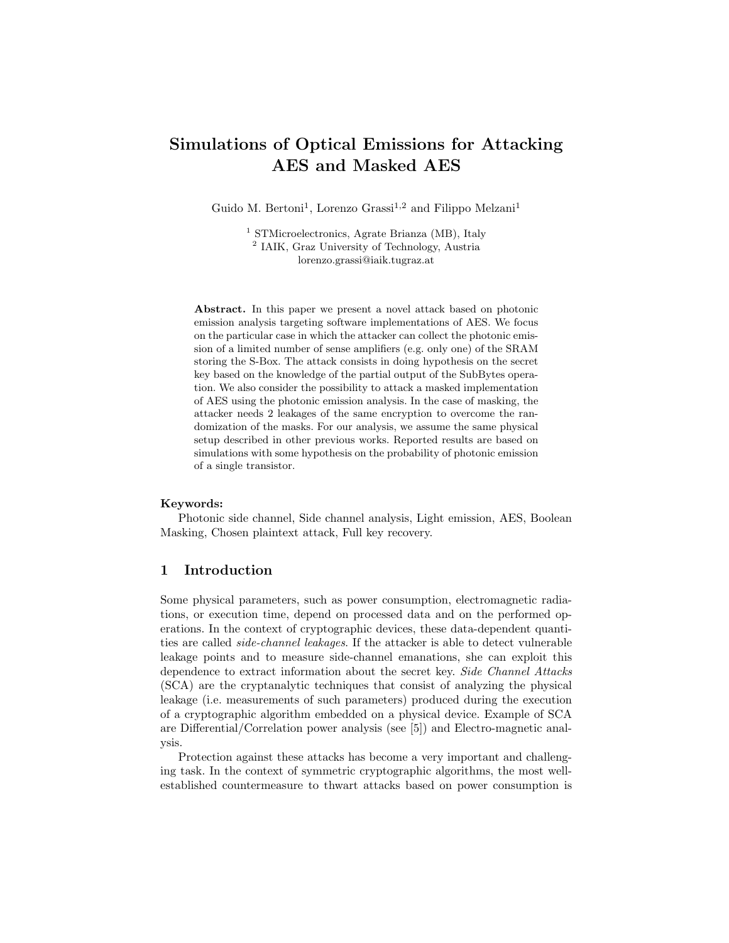# Simulations of Optical Emissions for Attacking AES and Masked AES

Guido M. Bertoni<sup>1</sup>, Lorenzo Grassi<sup>1,2</sup> and Filippo Melzani<sup>1</sup>

<sup>1</sup> STMicroelectronics, Agrate Brianza (MB), Italy 2 IAIK, Graz University of Technology, Austria lorenzo.grassi@iaik.tugraz.at

Abstract. In this paper we present a novel attack based on photonic emission analysis targeting software implementations of AES. We focus on the particular case in which the attacker can collect the photonic emission of a limited number of sense amplifiers (e.g. only one) of the SRAM storing the S-Box. The attack consists in doing hypothesis on the secret key based on the knowledge of the partial output of the SubBytes operation. We also consider the possibility to attack a masked implementation of AES using the photonic emission analysis. In the case of masking, the attacker needs 2 leakages of the same encryption to overcome the randomization of the masks. For our analysis, we assume the same physical setup described in other previous works. Reported results are based on simulations with some hypothesis on the probability of photonic emission of a single transistor.

#### Keywords:

Photonic side channel, Side channel analysis, Light emission, AES, Boolean Masking, Chosen plaintext attack, Full key recovery.

## 1 Introduction

Some physical parameters, such as power consumption, electromagnetic radiations, or execution time, depend on processed data and on the performed operations. In the context of cryptographic devices, these data-dependent quantities are called side-channel leakages. If the attacker is able to detect vulnerable leakage points and to measure side-channel emanations, she can exploit this dependence to extract information about the secret key. Side Channel Attacks (SCA) are the cryptanalytic techniques that consist of analyzing the physical leakage (i.e. measurements of such parameters) produced during the execution of a cryptographic algorithm embedded on a physical device. Example of SCA are Differential/Correlation power analysis (see [5]) and Electro-magnetic analysis.

Protection against these attacks has become a very important and challenging task. In the context of symmetric cryptographic algorithms, the most wellestablished countermeasure to thwart attacks based on power consumption is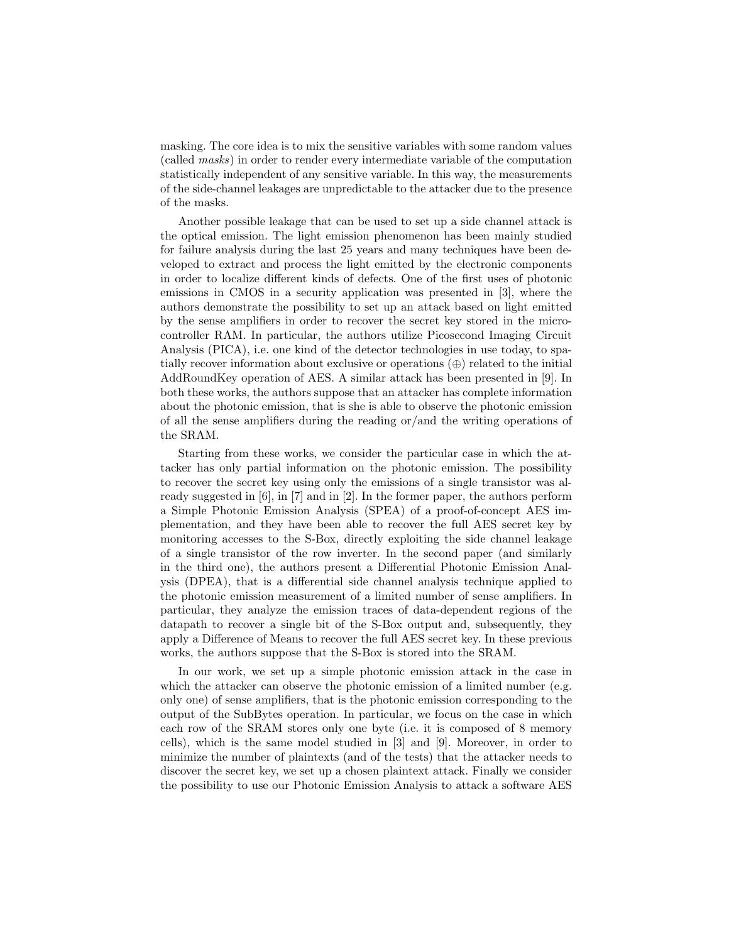masking. The core idea is to mix the sensitive variables with some random values (called masks) in order to render every intermediate variable of the computation statistically independent of any sensitive variable. In this way, the measurements of the side-channel leakages are unpredictable to the attacker due to the presence of the masks.

Another possible leakage that can be used to set up a side channel attack is the optical emission. The light emission phenomenon has been mainly studied for failure analysis during the last 25 years and many techniques have been developed to extract and process the light emitted by the electronic components in order to localize different kinds of defects. One of the first uses of photonic emissions in CMOS in a security application was presented in [3], where the authors demonstrate the possibility to set up an attack based on light emitted by the sense amplifiers in order to recover the secret key stored in the microcontroller RAM. In particular, the authors utilize Picosecond Imaging Circuit Analysis (PICA), i.e. one kind of the detector technologies in use today, to spatially recover information about exclusive or operations  $(\oplus)$  related to the initial AddRoundKey operation of AES. A similar attack has been presented in [9]. In both these works, the authors suppose that an attacker has complete information about the photonic emission, that is she is able to observe the photonic emission of all the sense amplifiers during the reading or/and the writing operations of the SRAM.

Starting from these works, we consider the particular case in which the attacker has only partial information on the photonic emission. The possibility to recover the secret key using only the emissions of a single transistor was already suggested in [6], in [7] and in [2]. In the former paper, the authors perform a Simple Photonic Emission Analysis (SPEA) of a proof-of-concept AES implementation, and they have been able to recover the full AES secret key by monitoring accesses to the S-Box, directly exploiting the side channel leakage of a single transistor of the row inverter. In the second paper (and similarly in the third one), the authors present a Differential Photonic Emission Analysis (DPEA), that is a differential side channel analysis technique applied to the photonic emission measurement of a limited number of sense amplifiers. In particular, they analyze the emission traces of data-dependent regions of the datapath to recover a single bit of the S-Box output and, subsequently, they apply a Difference of Means to recover the full AES secret key. In these previous works, the authors suppose that the S-Box is stored into the SRAM.

In our work, we set up a simple photonic emission attack in the case in which the attacker can observe the photonic emission of a limited number (e.g. only one) of sense amplifiers, that is the photonic emission corresponding to the output of the SubBytes operation. In particular, we focus on the case in which each row of the SRAM stores only one byte (i.e. it is composed of 8 memory cells), which is the same model studied in [3] and [9]. Moreover, in order to minimize the number of plaintexts (and of the tests) that the attacker needs to discover the secret key, we set up a chosen plaintext attack. Finally we consider the possibility to use our Photonic Emission Analysis to attack a software AES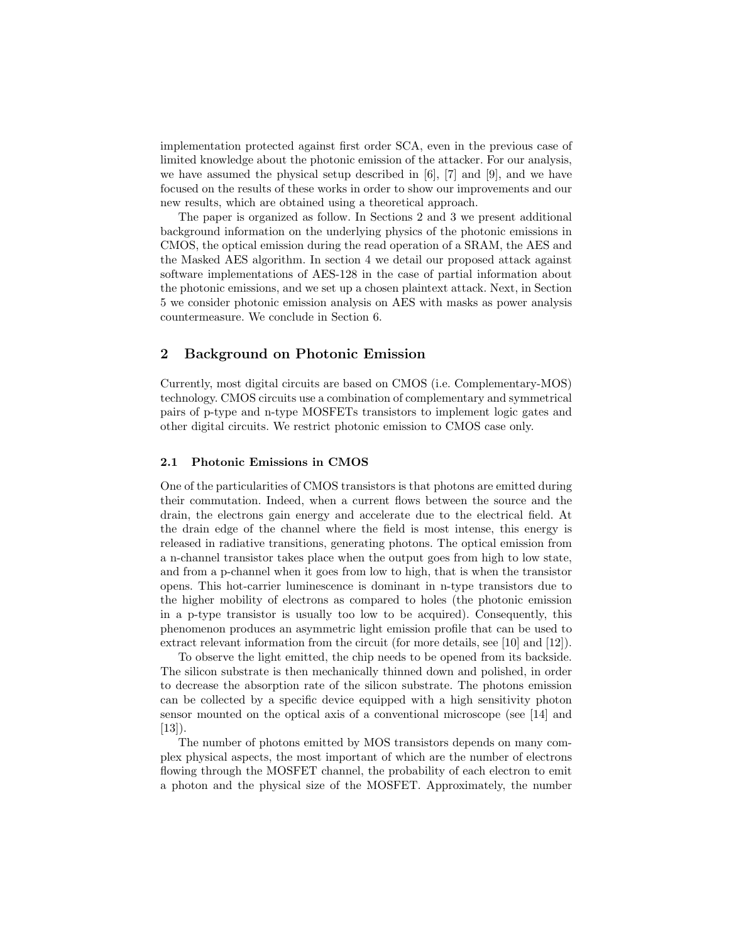implementation protected against first order SCA, even in the previous case of limited knowledge about the photonic emission of the attacker. For our analysis, we have assumed the physical setup described in  $[6]$ ,  $[7]$  and  $[9]$ , and we have focused on the results of these works in order to show our improvements and our new results, which are obtained using a theoretical approach.

The paper is organized as follow. In Sections 2 and 3 we present additional background information on the underlying physics of the photonic emissions in CMOS, the optical emission during the read operation of a SRAM, the AES and the Masked AES algorithm. In section 4 we detail our proposed attack against software implementations of AES-128 in the case of partial information about the photonic emissions, and we set up a chosen plaintext attack. Next, in Section 5 we consider photonic emission analysis on AES with masks as power analysis countermeasure. We conclude in Section 6.

# 2 Background on Photonic Emission

Currently, most digital circuits are based on CMOS (i.e. Complementary-MOS) technology. CMOS circuits use a combination of complementary and symmetrical pairs of p-type and n-type MOSFETs transistors to implement logic gates and other digital circuits. We restrict photonic emission to CMOS case only.

## 2.1 Photonic Emissions in CMOS

One of the particularities of CMOS transistors is that photons are emitted during their commutation. Indeed, when a current flows between the source and the drain, the electrons gain energy and accelerate due to the electrical field. At the drain edge of the channel where the field is most intense, this energy is released in radiative transitions, generating photons. The optical emission from a n-channel transistor takes place when the output goes from high to low state, and from a p-channel when it goes from low to high, that is when the transistor opens. This hot-carrier luminescence is dominant in n-type transistors due to the higher mobility of electrons as compared to holes (the photonic emission in a p-type transistor is usually too low to be acquired). Consequently, this phenomenon produces an asymmetric light emission profile that can be used to extract relevant information from the circuit (for more details, see [10] and [12]).

To observe the light emitted, the chip needs to be opened from its backside. The silicon substrate is then mechanically thinned down and polished, in order to decrease the absorption rate of the silicon substrate. The photons emission can be collected by a specific device equipped with a high sensitivity photon sensor mounted on the optical axis of a conventional microscope (see [14] and  $[13]$ ).

The number of photons emitted by MOS transistors depends on many complex physical aspects, the most important of which are the number of electrons flowing through the MOSFET channel, the probability of each electron to emit a photon and the physical size of the MOSFET. Approximately, the number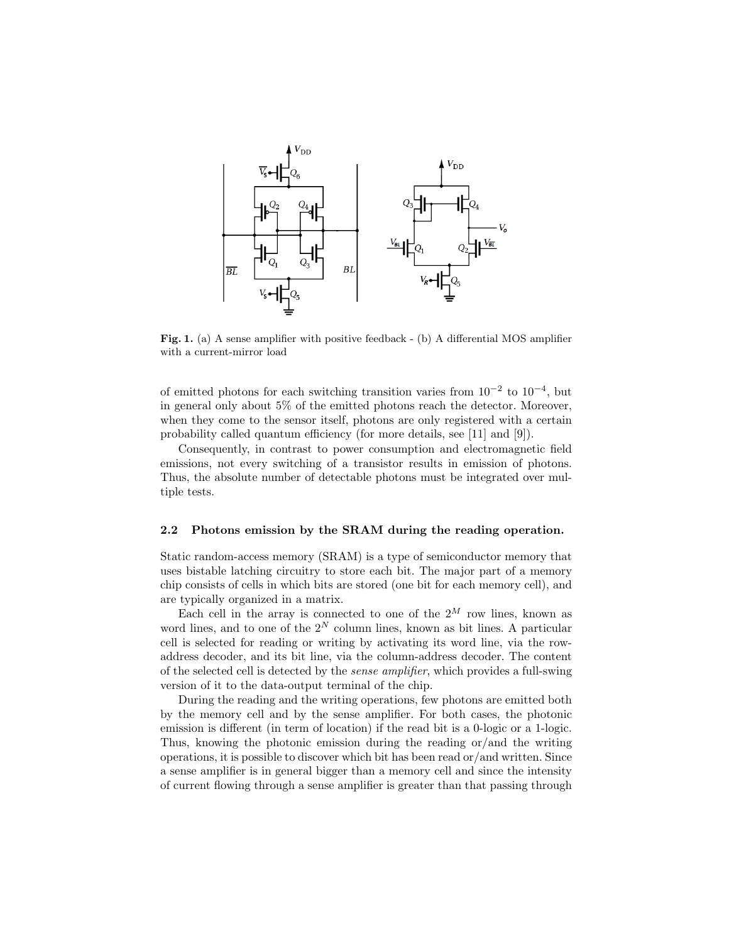

Fig. 1. (a) A sense amplifier with positive feedback - (b) A differential MOS amplifier with a current-mirror load

of emitted photons for each switching transition varies from  $10^{-2}$  to  $10^{-4}$ , but in general only about 5% of the emitted photons reach the detector. Moreover, when they come to the sensor itself, photons are only registered with a certain probability called quantum efficiency (for more details, see [11] and [9]).

Consequently, in contrast to power consumption and electromagnetic field emissions, not every switching of a transistor results in emission of photons. Thus, the absolute number of detectable photons must be integrated over multiple tests.

## 2.2 Photons emission by the SRAM during the reading operation.

Static random-access memory (SRAM) is a type of semiconductor memory that uses bistable latching circuitry to store each bit. The major part of a memory chip consists of cells in which bits are stored (one bit for each memory cell), and are typically organized in a matrix.

Each cell in the array is connected to one of the  $2^M$  row lines, known as word lines, and to one of the  $2^N$  column lines, known as bit lines. A particular cell is selected for reading or writing by activating its word line, via the rowaddress decoder, and its bit line, via the column-address decoder. The content of the selected cell is detected by the sense amplifier, which provides a full-swing version of it to the data-output terminal of the chip.

During the reading and the writing operations, few photons are emitted both by the memory cell and by the sense amplifier. For both cases, the photonic emission is different (in term of location) if the read bit is a 0-logic or a 1-logic. Thus, knowing the photonic emission during the reading or/and the writing operations, it is possible to discover which bit has been read or/and written. Since a sense amplifier is in general bigger than a memory cell and since the intensity of current flowing through a sense amplifier is greater than that passing through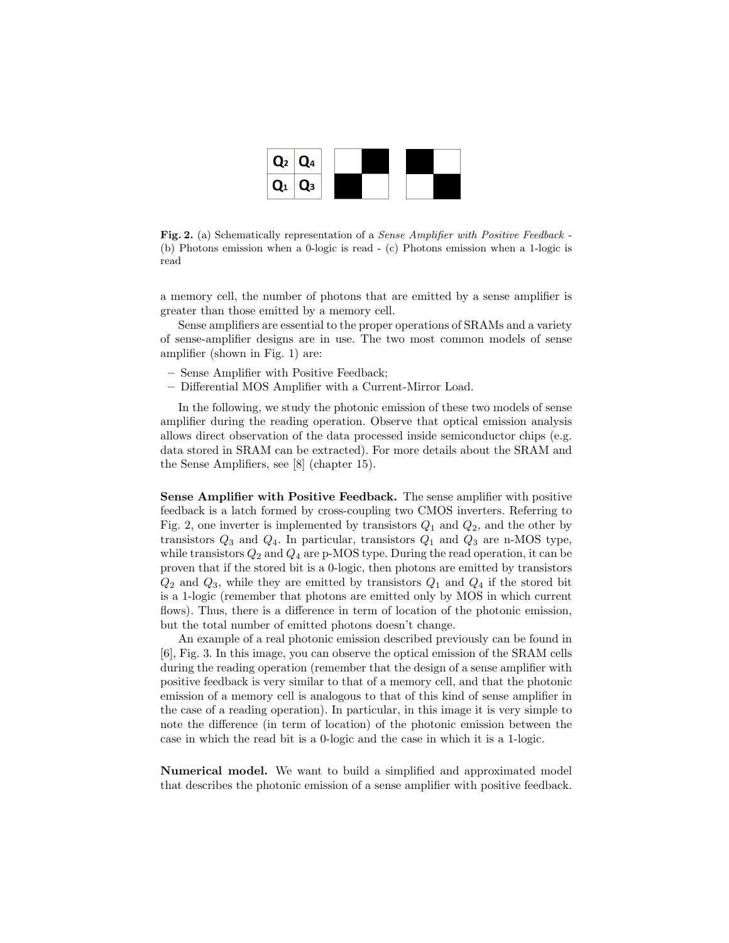

Fig. 2. (a) Schematically representation of a Sense Amplifier with Positive Feedback - (b) Photons emission when a 0-logic is read - (c) Photons emission when a 1-logic is read

a memory cell, the number of photons that are emitted by a sense amplifier is greater than those emitted by a memory cell.

Sense amplifiers are essential to the proper operations of SRAMs and a variety of sense-amplifier designs are in use. The two most common models of sense amplifier (shown in Fig. 1) are:

- Sense Amplifier with Positive Feedback;
- Differential MOS Amplifier with a Current-Mirror Load.

In the following, we study the photonic emission of these two models of sense amplifier during the reading operation. Observe that optical emission analysis allows direct observation of the data processed inside semiconductor chips (e.g. data stored in SRAM can be extracted). For more details about the SRAM and the Sense Amplifiers, see [8] (chapter 15).

Sense Amplifier with Positive Feedback. The sense amplifier with positive feedback is a latch formed by cross-coupling two CMOS inverters. Referring to Fig. 2, one inverter is implemented by transistors  $Q_1$  and  $Q_2$ , and the other by transistors  $Q_3$  and  $Q_4$ . In particular, transistors  $Q_1$  and  $Q_3$  are n-MOS type, while transistors  $Q_2$  and  $Q_4$  are p-MOS type. During the read operation, it can be proven that if the stored bit is a 0-logic, then photons are emitted by transistors  $Q_2$  and  $Q_3$ , while they are emitted by transistors  $Q_1$  and  $Q_4$  if the stored bit is a 1-logic (remember that photons are emitted only by MOS in which current flows). Thus, there is a difference in term of location of the photonic emission, but the total number of emitted photons doesn't change.

An example of a real photonic emission described previously can be found in [6], Fig. 3. In this image, you can observe the optical emission of the SRAM cells during the reading operation (remember that the design of a sense amplifier with positive feedback is very similar to that of a memory cell, and that the photonic emission of a memory cell is analogous to that of this kind of sense amplifier in the case of a reading operation). In particular, in this image it is very simple to note the difference (in term of location) of the photonic emission between the case in which the read bit is a 0-logic and the case in which it is a 1-logic.

Numerical model. We want to build a simplified and approximated model that describes the photonic emission of a sense amplifier with positive feedback.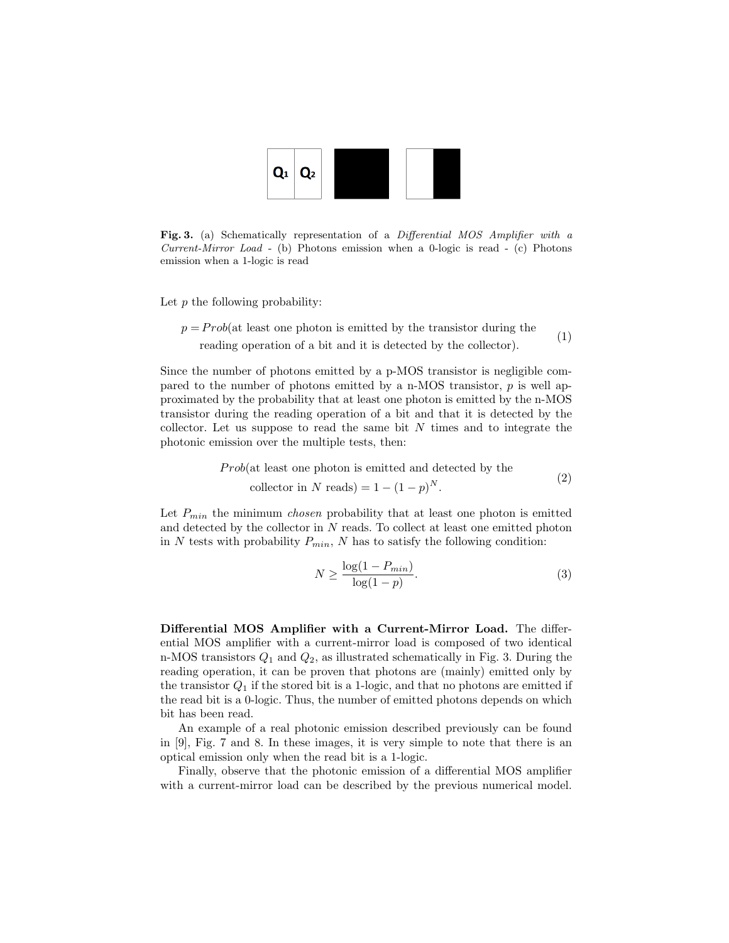

Fig. 3. (a) Schematically representation of a Differential MOS Amplifier with a Current-Mirror Load - (b) Photons emission when a 0-logic is read - (c) Photons emission when a 1-logic is read

Let  $p$  the following probability:

 $p = Prob(at \text{ least one photon is emitted by the transistor during the}$ reading operation of a bit and it is detected by the collector). (1)

Since the number of photons emitted by a p-MOS transistor is negligible compared to the number of photons emitted by a n-MOS transistor,  $p$  is well approximated by the probability that at least one photon is emitted by the n-MOS transistor during the reading operation of a bit and that it is detected by the collector. Let us suppose to read the same bit  $N$  times and to integrate the photonic emission over the multiple tests, then:

Prob(at least one photon is emitted and detected by the

$$
collector in N reads) = 1 - (1 - p)N.
$$

Let  $P_{min}$  the minimum *chosen* probability that at least one photon is emitted and detected by the collector in N reads. To collect at least one emitted photon in N tests with probability  $P_{min}$ , N has to satisfy the following condition:

$$
N \ge \frac{\log(1 - P_{min})}{\log(1 - p)}.\tag{3}
$$

 $(2)$ 

Differential MOS Amplifier with a Current-Mirror Load. The differential MOS amplifier with a current-mirror load is composed of two identical n-MOS transistors  $Q_1$  and  $Q_2$ , as illustrated schematically in Fig. 3. During the reading operation, it can be proven that photons are (mainly) emitted only by the transistor  $Q_1$  if the stored bit is a 1-logic, and that no photons are emitted if the read bit is a 0-logic. Thus, the number of emitted photons depends on which bit has been read.

An example of a real photonic emission described previously can be found in [9], Fig. 7 and 8. In these images, it is very simple to note that there is an optical emission only when the read bit is a 1-logic.

Finally, observe that the photonic emission of a differential MOS amplifier with a current-mirror load can be described by the previous numerical model.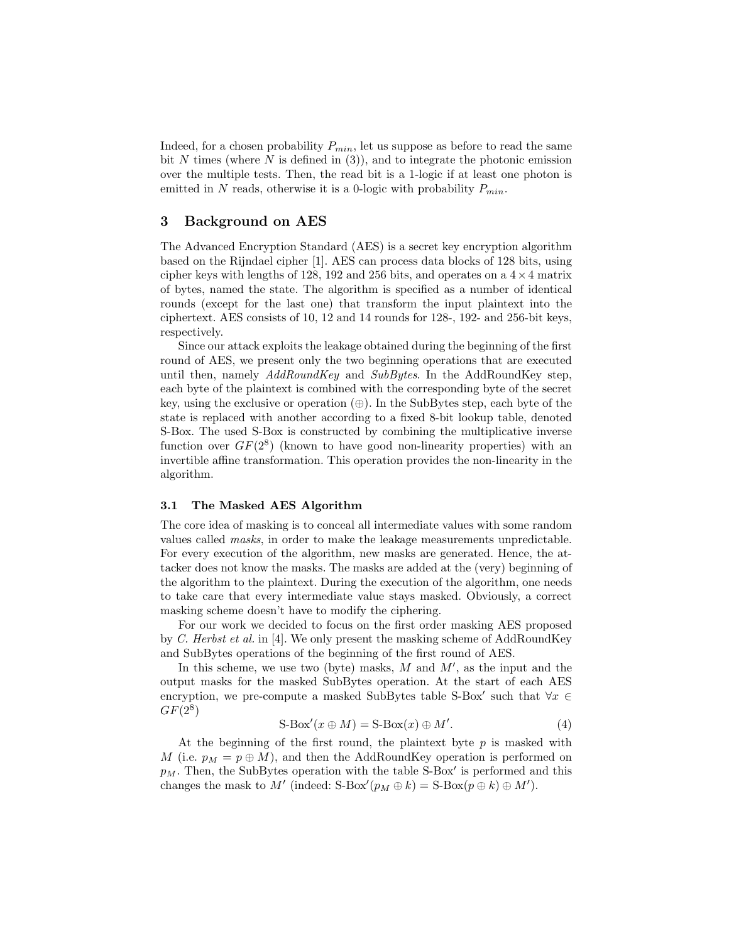Indeed, for a chosen probability  $P_{min}$ , let us suppose as before to read the same bit N times (where N is defined in  $(3)$ ), and to integrate the photonic emission over the multiple tests. Then, the read bit is a 1-logic if at least one photon is emitted in N reads, otherwise it is a 0-logic with probability  $P_{min}$ .

## 3 Background on AES

The Advanced Encryption Standard (AES) is a secret key encryption algorithm based on the Rijndael cipher [1]. AES can process data blocks of 128 bits, using cipher keys with lengths of 128, 192 and 256 bits, and operates on a  $4 \times 4$  matrix of bytes, named the state. The algorithm is specified as a number of identical rounds (except for the last one) that transform the input plaintext into the ciphertext. AES consists of 10, 12 and 14 rounds for 128-, 192- and 256-bit keys, respectively.

Since our attack exploits the leakage obtained during the beginning of the first round of AES, we present only the two beginning operations that are executed until then, namely  $AddRoundKey$  and  $SubBytes$ . In the AddRoundKey step, each byte of the plaintext is combined with the corresponding byte of the secret key, using the exclusive or operation  $(\oplus)$ . In the SubBytes step, each byte of the state is replaced with another according to a fixed 8-bit lookup table, denoted S-Box. The used S-Box is constructed by combining the multiplicative inverse function over  $GF(2^8)$  (known to have good non-linearity properties) with an invertible affine transformation. This operation provides the non-linearity in the algorithm.

#### 3.1 The Masked AES Algorithm

The core idea of masking is to conceal all intermediate values with some random values called masks, in order to make the leakage measurements unpredictable. For every execution of the algorithm, new masks are generated. Hence, the attacker does not know the masks. The masks are added at the (very) beginning of the algorithm to the plaintext. During the execution of the algorithm, one needs to take care that every intermediate value stays masked. Obviously, a correct masking scheme doesn't have to modify the ciphering.

For our work we decided to focus on the first order masking AES proposed by C. Herbst et al. in [4]. We only present the masking scheme of AddRoundKey and SubBytes operations of the beginning of the first round of AES.

In this scheme, we use two (byte) masks,  $M$  and  $M'$ , as the input and the output masks for the masked SubBytes operation. At the start of each AES encryption, we pre-compute a masked SubBytes table S-Box' such that  $\forall x \in$  $GF(2^8)$ 

$$
S-Box'(x \oplus M) = S-Box(x) \oplus M'. \tag{4}
$$

At the beginning of the first round, the plaintext byte  $p$  is masked with M (i.e.  $p_M = p \oplus M$ ), and then the AddRoundKey operation is performed on  $p_M$ . Then, the SubBytes operation with the table S-Box' is performed and this changes the mask to M' (indeed: S-Box $(p_M \oplus k) = S$ -Box $(p \oplus k) \oplus M'$ ).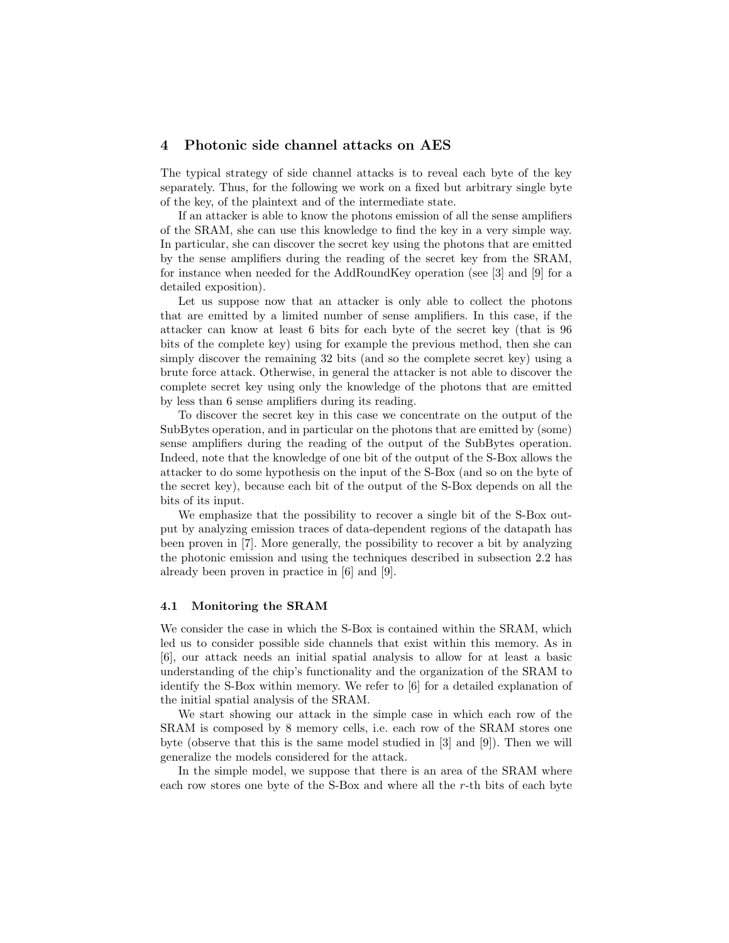## 4 Photonic side channel attacks on AES

The typical strategy of side channel attacks is to reveal each byte of the key separately. Thus, for the following we work on a fixed but arbitrary single byte of the key, of the plaintext and of the intermediate state.

If an attacker is able to know the photons emission of all the sense amplifiers of the SRAM, she can use this knowledge to find the key in a very simple way. In particular, she can discover the secret key using the photons that are emitted by the sense amplifiers during the reading of the secret key from the SRAM, for instance when needed for the AddRoundKey operation (see [3] and [9] for a detailed exposition).

Let us suppose now that an attacker is only able to collect the photons that are emitted by a limited number of sense amplifiers. In this case, if the attacker can know at least 6 bits for each byte of the secret key (that is 96 bits of the complete key) using for example the previous method, then she can simply discover the remaining 32 bits (and so the complete secret key) using a brute force attack. Otherwise, in general the attacker is not able to discover the complete secret key using only the knowledge of the photons that are emitted by less than 6 sense amplifiers during its reading.

To discover the secret key in this case we concentrate on the output of the SubBytes operation, and in particular on the photons that are emitted by (some) sense amplifiers during the reading of the output of the SubBytes operation. Indeed, note that the knowledge of one bit of the output of the S-Box allows the attacker to do some hypothesis on the input of the S-Box (and so on the byte of the secret key), because each bit of the output of the S-Box depends on all the bits of its input.

We emphasize that the possibility to recover a single bit of the S-Box output by analyzing emission traces of data-dependent regions of the datapath has been proven in [7]. More generally, the possibility to recover a bit by analyzing the photonic emission and using the techniques described in subsection 2.2 has already been proven in practice in [6] and [9].

#### 4.1 Monitoring the SRAM

We consider the case in which the S-Box is contained within the SRAM, which led us to consider possible side channels that exist within this memory. As in [6], our attack needs an initial spatial analysis to allow for at least a basic understanding of the chip's functionality and the organization of the SRAM to identify the S-Box within memory. We refer to [6] for a detailed explanation of the initial spatial analysis of the SRAM.

We start showing our attack in the simple case in which each row of the SRAM is composed by 8 memory cells, i.e. each row of the SRAM stores one byte (observe that this is the same model studied in [3] and [9]). Then we will generalize the models considered for the attack.

In the simple model, we suppose that there is an area of the SRAM where each row stores one byte of the S-Box and where all the r-th bits of each byte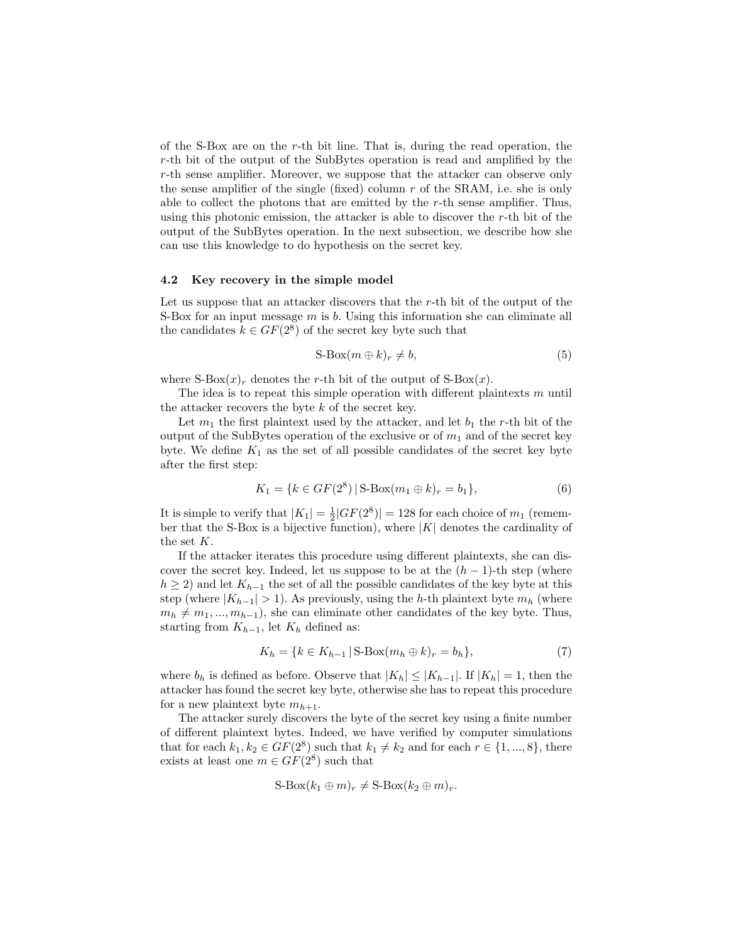of the S-Box are on the r-th bit line. That is, during the read operation, the r-th bit of the output of the SubBytes operation is read and amplified by the r-th sense amplifier. Moreover, we suppose that the attacker can observe only the sense amplifier of the single (fixed) column  $r$  of the SRAM, i.e. she is only able to collect the photons that are emitted by the  $r$ -th sense amplifier. Thus, using this photonic emission, the attacker is able to discover the  $r$ -th bit of the output of the SubBytes operation. In the next subsection, we describe how she can use this knowledge to do hypothesis on the secret key.

## 4.2 Key recovery in the simple model

Let us suppose that an attacker discovers that the r-th bit of the output of the S-Box for an input message  $m$  is b. Using this information she can eliminate all the candidates  $k \in GF(2^8)$  of the secret key byte such that

$$
S\text{-Box}(m \oplus k)_r \neq b,\tag{5}
$$

where  $S-Box(x)_r$  denotes the r-th bit of the output of  $S-Box(x)$ .

The idea is to repeat this simple operation with different plaintexts  $m$  until the attacker recovers the byte k of the secret key.

Let  $m_1$  the first plaintext used by the attacker, and let  $b_1$  the r-th bit of the output of the SubBytes operation of the exclusive or of  $m_1$  and of the secret key byte. We define  $K_1$  as the set of all possible candidates of the secret key byte after the first step:

$$
K_1 = \{k \in GF(2^8) \mid \text{S-Box}(m_1 \oplus k)_r = b_1\},\tag{6}
$$

It is simple to verify that  $|K_1| = \frac{1}{2}|GF(2^8)| = 128$  for each choice of  $m_1$  (remember that the S-Box is a bijective function), where  $|K|$  denotes the cardinality of the set K.

If the attacker iterates this procedure using different plaintexts, she can discover the secret key. Indeed, let us suppose to be at the  $(h-1)$ -th step (where  $h \geq 2$ ) and let  $K_{h-1}$  the set of all the possible candidates of the key byte at this step (where  $|K_{h-1}| > 1$ ). As previously, using the h-th plaintext byte  $m_h$  (where  $m_h \neq m_1, ..., m_{h-1}$ , she can eliminate other candidates of the key byte. Thus, starting from  $K_{h-1}$ , let  $K_h$  defined as:

$$
K_h = \{ k \in K_{h-1} \, | \, \text{S-Box}(m_h \oplus k)_r = b_h \},\tag{7}
$$

where  $b_h$  is defined as before. Observe that  $|K_h| \leq |K_{h-1}|$ . If  $|K_h| = 1$ , then the attacker has found the secret key byte, otherwise she has to repeat this procedure for a new plaintext byte  $m_{h+1}$ .

The attacker surely discovers the byte of the secret key using a finite number of different plaintext bytes. Indeed, we have verified by computer simulations that for each  $k_1, k_2 \in GF(2^8)$  such that  $k_1 \neq k_2$  and for each  $r \in \{1, ..., 8\}$ , there exists at least one  $m \in GF(2^8)$  such that

$$
S\text{-Box}(k_1 \oplus m)_r \neq S\text{-Box}(k_2 \oplus m)_r.
$$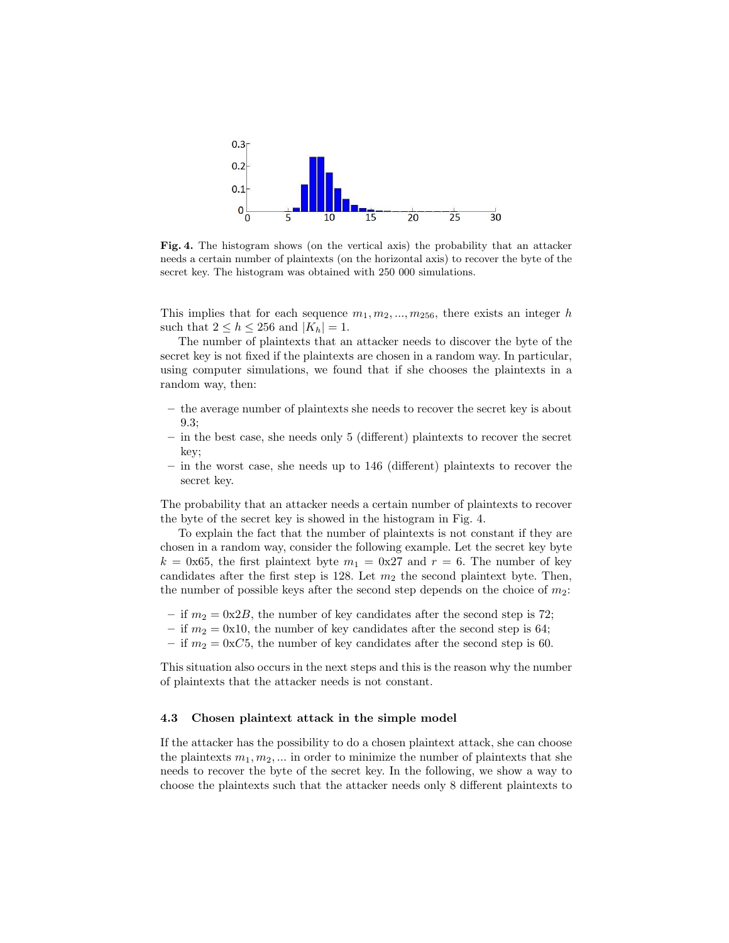

Fig. 4. The histogram shows (on the vertical axis) the probability that an attacker needs a certain number of plaintexts (on the horizontal axis) to recover the byte of the secret key. The histogram was obtained with 250 000 simulations.

This implies that for each sequence  $m_1, m_2, ..., m_{256}$ , there exists an integer h such that  $2 \leq h \leq 256$  and  $|K_h| = 1$ .

The number of plaintexts that an attacker needs to discover the byte of the secret key is not fixed if the plaintexts are chosen in a random way. In particular, using computer simulations, we found that if she chooses the plaintexts in a random way, then:

- the average number of plaintexts she needs to recover the secret key is about 9.3;
- in the best case, she needs only 5 (different) plaintexts to recover the secret key;
- in the worst case, she needs up to 146 (different) plaintexts to recover the secret key.

The probability that an attacker needs a certain number of plaintexts to recover the byte of the secret key is showed in the histogram in Fig. 4.

To explain the fact that the number of plaintexts is not constant if they are chosen in a random way, consider the following example. Let the secret key byte  $k = 0x65$ , the first plaintext byte  $m_1 = 0x27$  and  $r = 6$ . The number of key candidates after the first step is 128. Let  $m_2$  the second plaintext byte. Then, the number of possible keys after the second step depends on the choice of  $m_2$ :

- if  $m_2 = 0x2B$ , the number of key candidates after the second step is 72;
- if  $m_2 = 0x10$ , the number of key candidates after the second step is 64;
- if  $m_2 = 0 \times C5$ , the number of key candidates after the second step is 60.

This situation also occurs in the next steps and this is the reason why the number of plaintexts that the attacker needs is not constant.

## 4.3 Chosen plaintext attack in the simple model

If the attacker has the possibility to do a chosen plaintext attack, she can choose the plaintexts  $m_1, m_2, \dots$  in order to minimize the number of plaintexts that she needs to recover the byte of the secret key. In the following, we show a way to choose the plaintexts such that the attacker needs only 8 different plaintexts to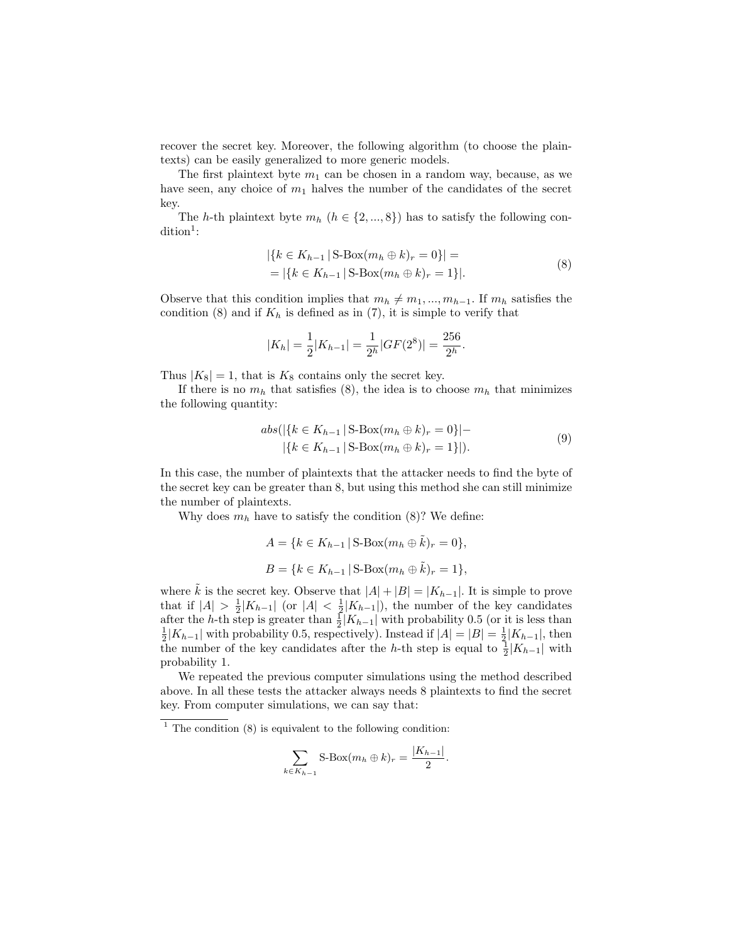recover the secret key. Moreover, the following algorithm (to choose the plaintexts) can be easily generalized to more generic models.

The first plaintext byte  $m_1$  can be chosen in a random way, because, as we have seen, any choice of  $m_1$  halves the number of the candidates of the secret key.

The h-th plaintext byte  $m_h$   $(h \in \{2, ..., 8\})$  has to satisfy the following con- $\dim^1:$ 

$$
|\{k \in K_{h-1} \mid \text{S-Box}(m_h \oplus k)_r = 0\}| =
$$
  
= |\{k \in K\_{h-1} \mid \text{S-Box}(m\_h \oplus k)\_r = 1\}|. (8)

Observe that this condition implies that  $m_h \neq m_1, ..., m_{h-1}$ . If  $m_h$  satisfies the condition (8) and if  $K_h$  is defined as in (7), it is simple to verify that

$$
|K_h| = \frac{1}{2}|K_{h-1}| = \frac{1}{2^h}|GF(2^8)| = \frac{256}{2^h}.
$$

Thus  $|K_8| = 1$ , that is  $K_8$  contains only the secret key.

If there is no  $m_h$  that satisfies (8), the idea is to choose  $m_h$  that minimizes the following quantity:

$$
abs(|\{k \in K_{h-1} \mid S\text{-Box}(m_h \oplus k)_r = 0\}| -
$$
  
 
$$
|\{k \in K_{h-1} \mid S\text{-Box}(m_h \oplus k)_r = 1\}|).
$$
 (9)

In this case, the number of plaintexts that the attacker needs to find the byte of the secret key can be greater than 8, but using this method she can still minimize the number of plaintexts.

Why does  $m_h$  have to satisfy the condition (8)? We define:

$$
A = \{k \in K_{h-1} | \text{S-Box}(m_h \oplus \tilde{k})_r = 0\},\
$$
  

$$
B = \{k \in K_{h-1} | \text{S-Box}(m_h \oplus \tilde{k})_r = 1\},\
$$

where  $\hat{k}$  is the secret key. Observe that  $|A| + |B| = |K_{h-1}|$ . It is simple to prove that if  $|A| > \frac{1}{2}|K_{h-1}|$  (or  $|A| < \frac{1}{2}|K_{h-1}|$ ), the number of the key candidates after the h-th step is greater than  $\frac{1}{2}|K_{h-1}|$  with probability 0.5 (or it is less than  $\frac{1}{2}|K_{h-1}|$  with probability 0.5, respectively). Instead if  $|A| = |B| = \frac{1}{2}|K_{h-1}|$ , then the number of the key candidates after the h-th step is equal to  $\frac{1}{2}|K_{h-1}|$  with probability 1.

We repeated the previous computer simulations using the method described above. In all these tests the attacker always needs 8 plaintexts to find the secret key. From computer simulations, we can say that:

$$
\sum_{k \in K_{h-1}} S \text{-Box}(m_h \oplus k)_r = \frac{|K_{h-1}|}{2}.
$$

 $1$  The condition (8) is equivalent to the following condition: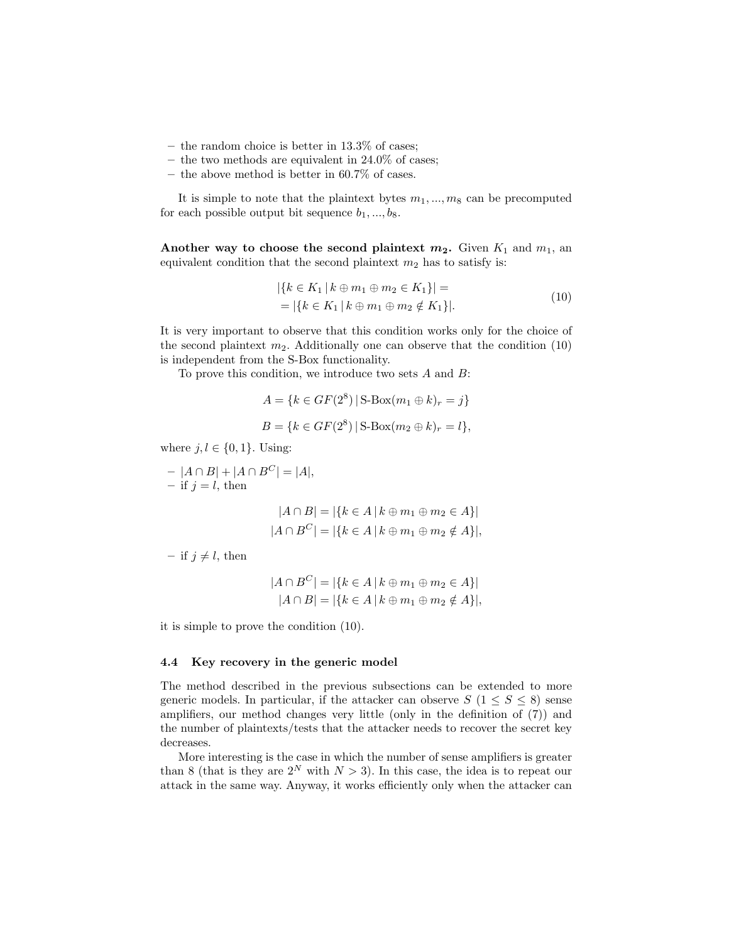- the random choice is better in 13.3% of cases;
- the two methods are equivalent in  $24.0\%$  of cases;
- the above method is better in 60.7% of cases.

It is simple to note that the plaintext bytes  $m_1, ..., m_8$  can be precomputed for each possible output bit sequence  $b_1, ..., b_8$ .

Another way to choose the second plaintext  $m_2$ . Given  $K_1$  and  $m_1$ , an equivalent condition that the second plaintext  $m_2$  has to satisfy is:

$$
|\{k \in K_1 \mid k \oplus m_1 \oplus m_2 \in K_1\}| =
$$
  
= |\{k \in K\_1 \mid k \oplus m\_1 \oplus m\_2 \notin K\_1\}|. (10)

It is very important to observe that this condition works only for the choice of the second plaintext  $m_2$ . Additionally one can observe that the condition (10) is independent from the S-Box functionality.

To prove this condition, we introduce two sets  $A$  and  $B$ :

$$
A = \{k \in GF(2^8) | \text{S-Box}(m_1 \oplus k)_r = j\}
$$
  

$$
B = \{k \in GF(2^8) | \text{S-Box}(m_2 \oplus k)_r = l\},\
$$

where  $j, l \in \{0, 1\}$ . Using:

–  $|A ∩ B| + |A ∩ B<sup>C</sup>| = |A|,$ – if  $j = l$ , then

$$
|A \cap B| = |\{k \in A \mid k \oplus m_1 \oplus m_2 \in A\}|
$$
  

$$
|A \cap B^C| = |\{k \in A \mid k \oplus m_1 \oplus m_2 \notin A\}|,
$$

– if  $j \neq l$ , then

$$
|A \cap B^{C}| = |\{k \in A \mid k \oplus m_1 \oplus m_2 \in A\}|
$$
  

$$
|A \cap B| = |\{k \in A \mid k \oplus m_1 \oplus m_2 \notin A\}|,
$$

it is simple to prove the condition (10).

## 4.4 Key recovery in the generic model

The method described in the previous subsections can be extended to more generic models. In particular, if the attacker can observe  $S$  ( $1 \leq S \leq 8$ ) sense amplifiers, our method changes very little (only in the definition of (7)) and the number of plaintexts/tests that the attacker needs to recover the secret key decreases.

More interesting is the case in which the number of sense amplifiers is greater than 8 (that is they are  $2^N$  with  $N > 3$ ). In this case, the idea is to repeat our attack in the same way. Anyway, it works efficiently only when the attacker can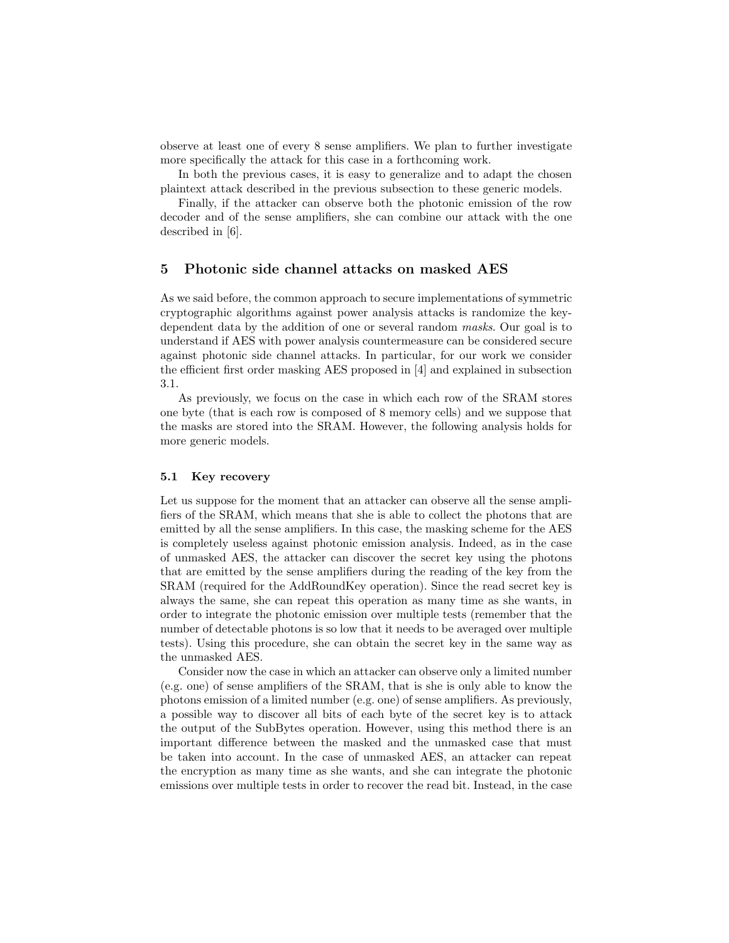observe at least one of every 8 sense amplifiers. We plan to further investigate more specifically the attack for this case in a forthcoming work.

In both the previous cases, it is easy to generalize and to adapt the chosen plaintext attack described in the previous subsection to these generic models.

Finally, if the attacker can observe both the photonic emission of the row decoder and of the sense amplifiers, she can combine our attack with the one described in [6].

## 5 Photonic side channel attacks on masked AES

As we said before, the common approach to secure implementations of symmetric cryptographic algorithms against power analysis attacks is randomize the keydependent data by the addition of one or several random masks. Our goal is to understand if AES with power analysis countermeasure can be considered secure against photonic side channel attacks. In particular, for our work we consider the efficient first order masking AES proposed in [4] and explained in subsection 3.1.

As previously, we focus on the case in which each row of the SRAM stores one byte (that is each row is composed of 8 memory cells) and we suppose that the masks are stored into the SRAM. However, the following analysis holds for more generic models.

#### 5.1 Key recovery

Let us suppose for the moment that an attacker can observe all the sense amplifiers of the SRAM, which means that she is able to collect the photons that are emitted by all the sense amplifiers. In this case, the masking scheme for the AES is completely useless against photonic emission analysis. Indeed, as in the case of unmasked AES, the attacker can discover the secret key using the photons that are emitted by the sense amplifiers during the reading of the key from the SRAM (required for the AddRoundKey operation). Since the read secret key is always the same, she can repeat this operation as many time as she wants, in order to integrate the photonic emission over multiple tests (remember that the number of detectable photons is so low that it needs to be averaged over multiple tests). Using this procedure, she can obtain the secret key in the same way as the unmasked AES.

Consider now the case in which an attacker can observe only a limited number (e.g. one) of sense amplifiers of the SRAM, that is she is only able to know the photons emission of a limited number (e.g. one) of sense amplifiers. As previously, a possible way to discover all bits of each byte of the secret key is to attack the output of the SubBytes operation. However, using this method there is an important difference between the masked and the unmasked case that must be taken into account. In the case of unmasked AES, an attacker can repeat the encryption as many time as she wants, and she can integrate the photonic emissions over multiple tests in order to recover the read bit. Instead, in the case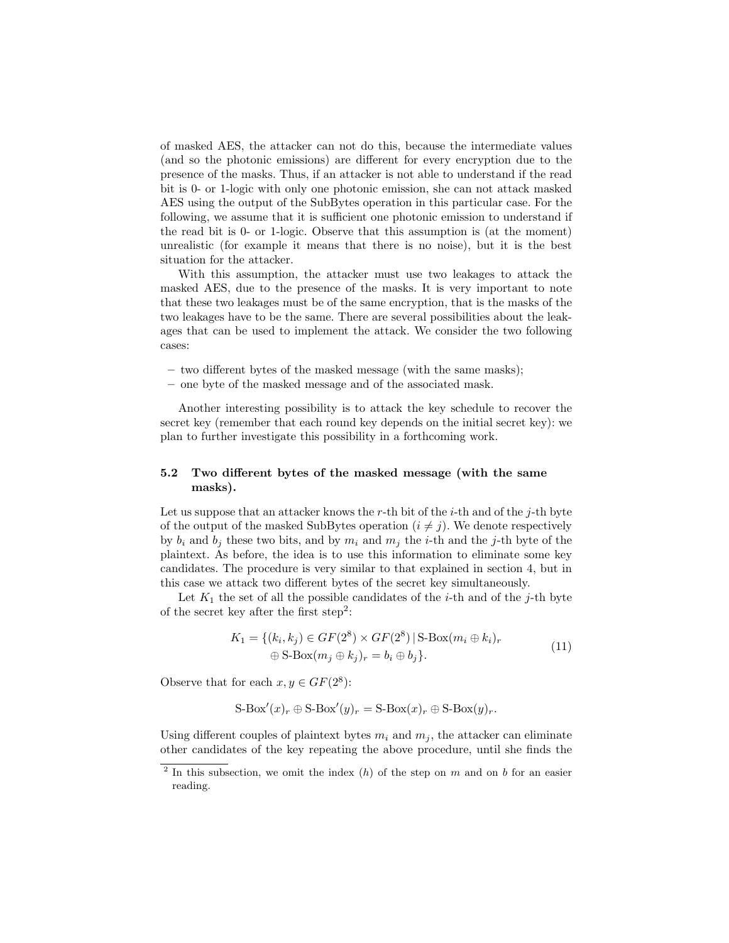of masked AES, the attacker can not do this, because the intermediate values (and so the photonic emissions) are different for every encryption due to the presence of the masks. Thus, if an attacker is not able to understand if the read bit is 0- or 1-logic with only one photonic emission, she can not attack masked AES using the output of the SubBytes operation in this particular case. For the following, we assume that it is sufficient one photonic emission to understand if the read bit is 0- or 1-logic. Observe that this assumption is (at the moment) unrealistic (for example it means that there is no noise), but it is the best situation for the attacker.

With this assumption, the attacker must use two leakages to attack the masked AES, due to the presence of the masks. It is very important to note that these two leakages must be of the same encryption, that is the masks of the two leakages have to be the same. There are several possibilities about the leakages that can be used to implement the attack. We consider the two following cases:

- two different bytes of the masked message (with the same masks);
- one byte of the masked message and of the associated mask.

Another interesting possibility is to attack the key schedule to recover the secret key (remember that each round key depends on the initial secret key): we plan to further investigate this possibility in a forthcoming work.

## 5.2 Two different bytes of the masked message (with the same masks).

Let us suppose that an attacker knows the r-th bit of the *i*-th and of the *j*-th byte of the output of the masked SubBytes operation  $(i \neq j)$ . We denote respectively by  $b_i$  and  $b_j$  these two bits, and by  $m_i$  and  $m_j$  the *i*-th and the *j*-th byte of the plaintext. As before, the idea is to use this information to eliminate some key candidates. The procedure is very similar to that explained in section 4, but in this case we attack two different bytes of the secret key simultaneously.

Let  $K_1$  the set of all the possible candidates of the *i*-th and of the *j*-th byte of the secret key after the first step<sup>2</sup>:

$$
K_1 = \{ (k_i, k_j) \in GF(2^8) \times GF(2^8) \mid S\text{-Box}(m_i \oplus k_i)_r
$$
  
 
$$
\oplus S\text{-Box}(m_j \oplus k_j)_r = b_i \oplus b_j \}.
$$
 (11)

Observe that for each  $x, y \in GF(2^8)$ :

$$
S\text{-Box}'(x)_r \oplus S\text{-Box}'(y)_r = S\text{-Box}(x)_r \oplus S\text{-Box}(y)_r.
$$

Using different couples of plaintext bytes  $m_i$  and  $m_j$ , the attacker can eliminate other candidates of the key repeating the above procedure, until she finds the

<sup>&</sup>lt;sup>2</sup> In this subsection, we omit the index  $(h)$  of the step on m and on b for an easier reading.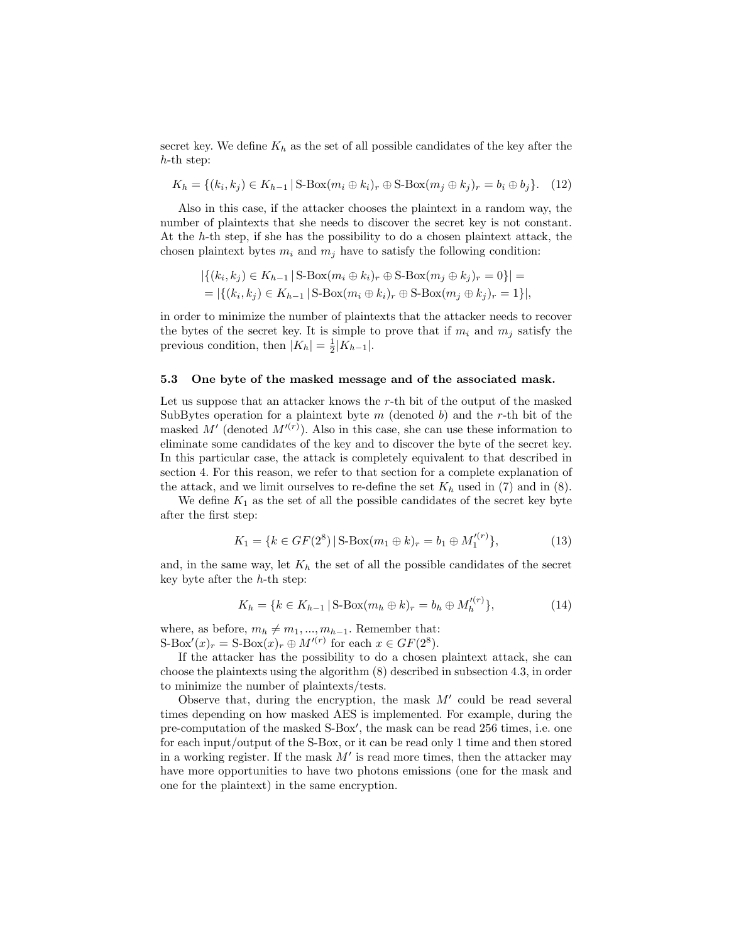secret key. We define  $K_h$  as the set of all possible candidates of the key after the h-th step:

$$
K_h = \{ (k_i, k_j) \in K_{h-1} \mid S\text{-Box}(m_i \oplus k_i)_r \oplus S\text{-Box}(m_j \oplus k_j)_r = b_i \oplus b_j \}. (12)
$$

Also in this case, if the attacker chooses the plaintext in a random way, the number of plaintexts that she needs to discover the secret key is not constant. At the h-th step, if she has the possibility to do a chosen plaintext attack, the chosen plaintext bytes  $m_i$  and  $m_j$  have to satisfy the following condition:

$$
|\{(k_i, k_j) \in K_{h-1} \mid S\text{-Box}(m_i \oplus k_i)_r \oplus S\text{-Box}(m_j \oplus k_j)_r = 0\}| =
$$
  
= |\{(k\_i, k\_j) \in K\_{h-1} \mid S\text{-Box}(m\_i \oplus k\_i)\_r \oplus S\text{-Box}(m\_j \oplus k\_j)\_r = 1\}|,

in order to minimize the number of plaintexts that the attacker needs to recover the bytes of the secret key. It is simple to prove that if  $m_i$  and  $m_j$  satisfy the previous condition, then  $|K_h| = \frac{1}{2}|K_{h-1}|$ .

### 5.3 One byte of the masked message and of the associated mask.

Let us suppose that an attacker knows the r-th bit of the output of the masked SubBytes operation for a plaintext byte m (denoted b) and the r-th bit of the masked M' (denoted  $M^{(r)}$ ). Also in this case, she can use these information to eliminate some candidates of the key and to discover the byte of the secret key. In this particular case, the attack is completely equivalent to that described in section 4. For this reason, we refer to that section for a complete explanation of the attack, and we limit ourselves to re-define the set  $K_h$  used in (7) and in (8).

We define  $K_1$  as the set of all the possible candidates of the secret key byte after the first step:

$$
K_1 = \{ k \in GF(2^8) \mid \text{S-Box}(m_1 \oplus k)_r = b_1 \oplus M_1'^{(r)} \},\tag{13}
$$

and, in the same way, let  $K_h$  the set of all the possible candidates of the secret key byte after the  $h$ -th step:

$$
K_h = \{k \in K_{h-1} \,|\, \text{S-Box}(m_h \oplus k)_r = b_h \oplus M_h'^{(r)}\},\tag{14}
$$

where, as before,  $m_h \neq m_1, ..., m_{h-1}$ . Remember that:  $S\text{-Box}'(x)_r = S\text{-Box}(x)_r \oplus M'^{(r)}$  for each  $x \in GF(2^8)$ .

If the attacker has the possibility to do a chosen plaintext attack, she can choose the plaintexts using the algorithm (8) described in subsection 4.3, in order to minimize the number of plaintexts/tests.

Observe that, during the encryption, the mask  $M'$  could be read several times depending on how masked AES is implemented. For example, during the pre-computation of the masked S-Box', the mask can be read 256 times, i.e. one for each input/output of the S-Box, or it can be read only 1 time and then stored in a working register. If the mask  $M'$  is read more times, then the attacker may have more opportunities to have two photons emissions (one for the mask and one for the plaintext) in the same encryption.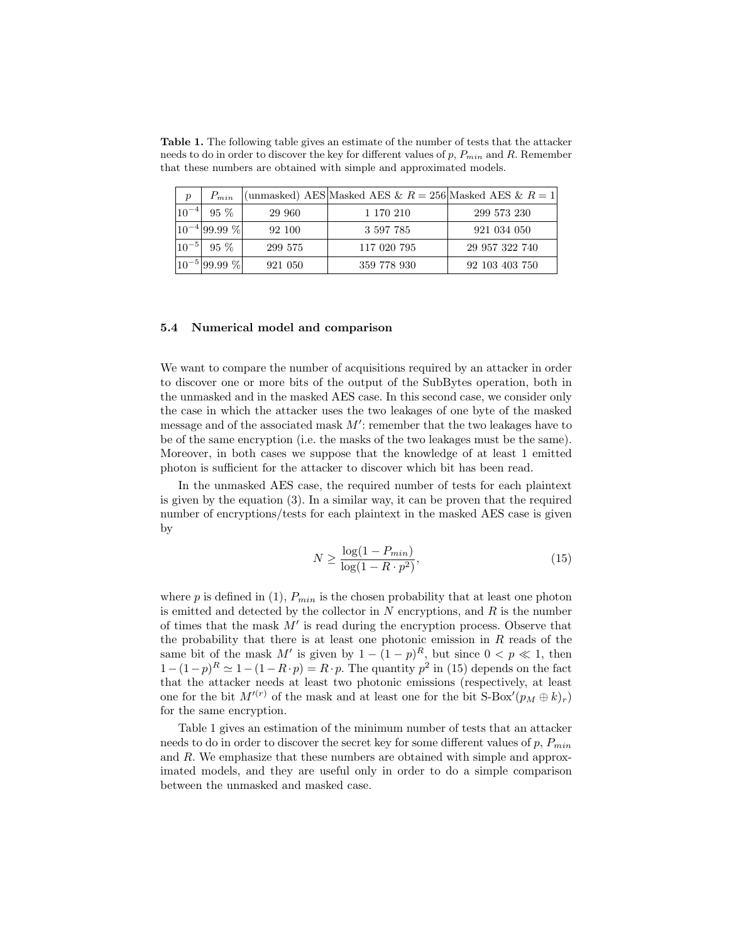Table 1. The following table gives an estimate of the number of tests that the attacker needs to do in order to discover the key for different values of  $p$ ,  $P_{min}$  and  $R$ . Remember that these numbers are obtained with simple and approximated models.

| $\mathcal{p}$ | $P_{min}$           |         | (unmasked) AES Masked AES & $R = 256$ Masked AES & $R = 1$ |                |
|---------------|---------------------|---------|------------------------------------------------------------|----------------|
| $10^{-4}$     | $95\%$              | 29 960  | 1 170 210                                                  | 299 573 230    |
|               | $ 10^{-4} 99.99\% $ | 92 100  | 3 597 785                                                  | 921 034 050    |
| $10^{-5}$     | $95\%$              | 299 575 | 117 020 795                                                | 29 957 322 740 |
|               | $ 10^{-5} 99.99\% $ | 921 050 | 359 778 930                                                | 92 103 403 750 |

## 5.4 Numerical model and comparison

We want to compare the number of acquisitions required by an attacker in order to discover one or more bits of the output of the SubBytes operation, both in the unmasked and in the masked AES case. In this second case, we consider only the case in which the attacker uses the two leakages of one byte of the masked message and of the associated mask  $M'$ : remember that the two leakages have to be of the same encryption (i.e. the masks of the two leakages must be the same). Moreover, in both cases we suppose that the knowledge of at least 1 emitted photon is sufficient for the attacker to discover which bit has been read.

In the unmasked AES case, the required number of tests for each plaintext is given by the equation (3). In a similar way, it can be proven that the required number of encryptions/tests for each plaintext in the masked AES case is given by

$$
N \ge \frac{\log(1 - P_{min})}{\log(1 - R \cdot p^2)},\tag{15}
$$

where p is defined in (1),  $P_{min}$  is the chosen probability that at least one photon is emitted and detected by the collector in  $N$  encryptions, and  $R$  is the number of times that the mask  $M'$  is read during the encryption process. Observe that the probability that there is at least one photonic emission in  $R$  reads of the same bit of the mask M' is given by  $1 - (1 - p)^R$ , but since  $0 < p \ll 1$ , then  $1-(1-p)^R \simeq 1-(1-R\cdot p) = R\cdot p$ . The quantity  $p^2$  in (15) depends on the fact that the attacker needs at least two photonic emissions (respectively, at least one for the bit  $M^{(r)}$  of the mask and at least one for the bit  $S\text{-Box}'(p_M \oplus k)_r$ for the same encryption.

Table 1 gives an estimation of the minimum number of tests that an attacker needs to do in order to discover the secret key for some different values of  $p$ ,  $P_{min}$ and R. We emphasize that these numbers are obtained with simple and approximated models, and they are useful only in order to do a simple comparison between the unmasked and masked case.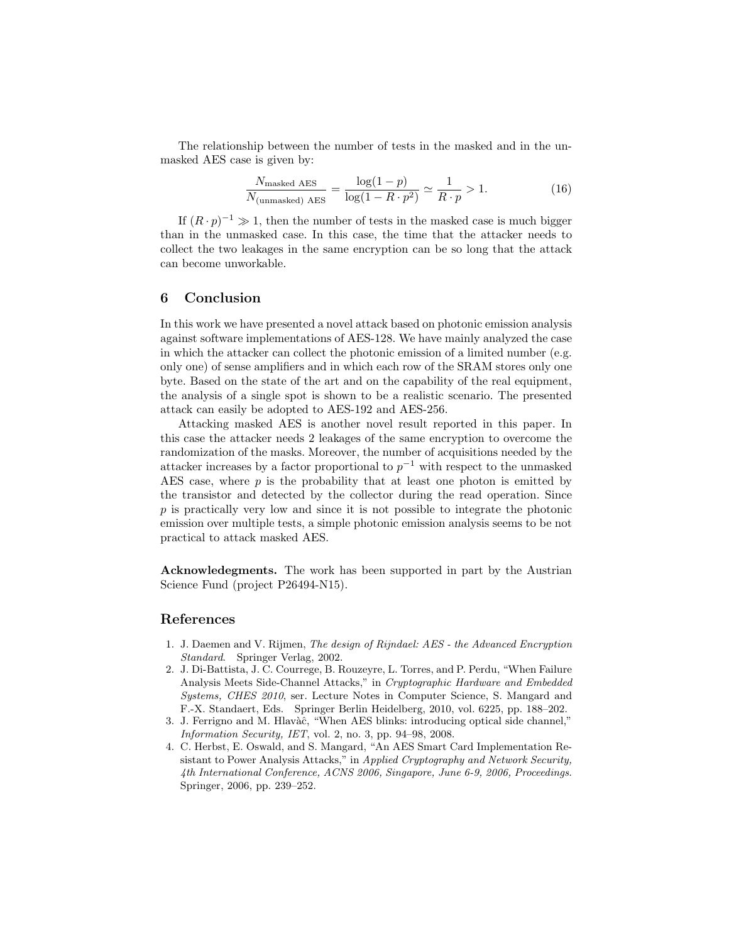The relationship between the number of tests in the masked and in the unmasked AES case is given by:

$$
\frac{N_{\text{masked AES}}}{N_{\text{(unmasked) AES}}} = \frac{\log(1-p)}{\log(1 - R \cdot p^2)} \simeq \frac{1}{R \cdot p} > 1.
$$
 (16)

If  $(R \cdot p)^{-1} \gg 1$ , then the number of tests in the masked case is much bigger than in the unmasked case. In this case, the time that the attacker needs to collect the two leakages in the same encryption can be so long that the attack can become unworkable.

## 6 Conclusion

In this work we have presented a novel attack based on photonic emission analysis against software implementations of AES-128. We have mainly analyzed the case in which the attacker can collect the photonic emission of a limited number (e.g. only one) of sense amplifiers and in which each row of the SRAM stores only one byte. Based on the state of the art and on the capability of the real equipment, the analysis of a single spot is shown to be a realistic scenario. The presented attack can easily be adopted to AES-192 and AES-256.

Attacking masked AES is another novel result reported in this paper. In this case the attacker needs 2 leakages of the same encryption to overcome the randomization of the masks. Moreover, the number of acquisitions needed by the attacker increases by a factor proportional to  $p^{-1}$  with respect to the unmasked AES case, where  $p$  is the probability that at least one photon is emitted by the transistor and detected by the collector during the read operation. Since p is practically very low and since it is not possible to integrate the photonic emission over multiple tests, a simple photonic emission analysis seems to be not practical to attack masked AES.

Acknowledegments. The work has been supported in part by the Austrian Science Fund (project P26494-N15).

## References

- 1. J. Daemen and V. Rijmen, The design of Rijndael: AES the Advanced Encryption Standard. Springer Verlag, 2002.
- 2. J. Di-Battista, J. C. Courrege, B. Rouzeyre, L. Torres, and P. Perdu, "When Failure Analysis Meets Side-Channel Attacks," in Cryptographic Hardware and Embedded Systems, CHES 2010, ser. Lecture Notes in Computer Science, S. Mangard and F.-X. Standaert, Eds. Springer Berlin Heidelberg, 2010, vol. 6225, pp. 188–202.
- 3. J. Ferrigno and M. Hlavàĉ, "When AES blinks: introducing optical side channel," Information Security, IET, vol. 2, no. 3, pp. 94–98, 2008.
- 4. C. Herbst, E. Oswald, and S. Mangard, "An AES Smart Card Implementation Resistant to Power Analysis Attacks," in Applied Cryptography and Network Security, 4th International Conference, ACNS 2006, Singapore, June 6-9, 2006, Proceedings. Springer, 2006, pp. 239–252.